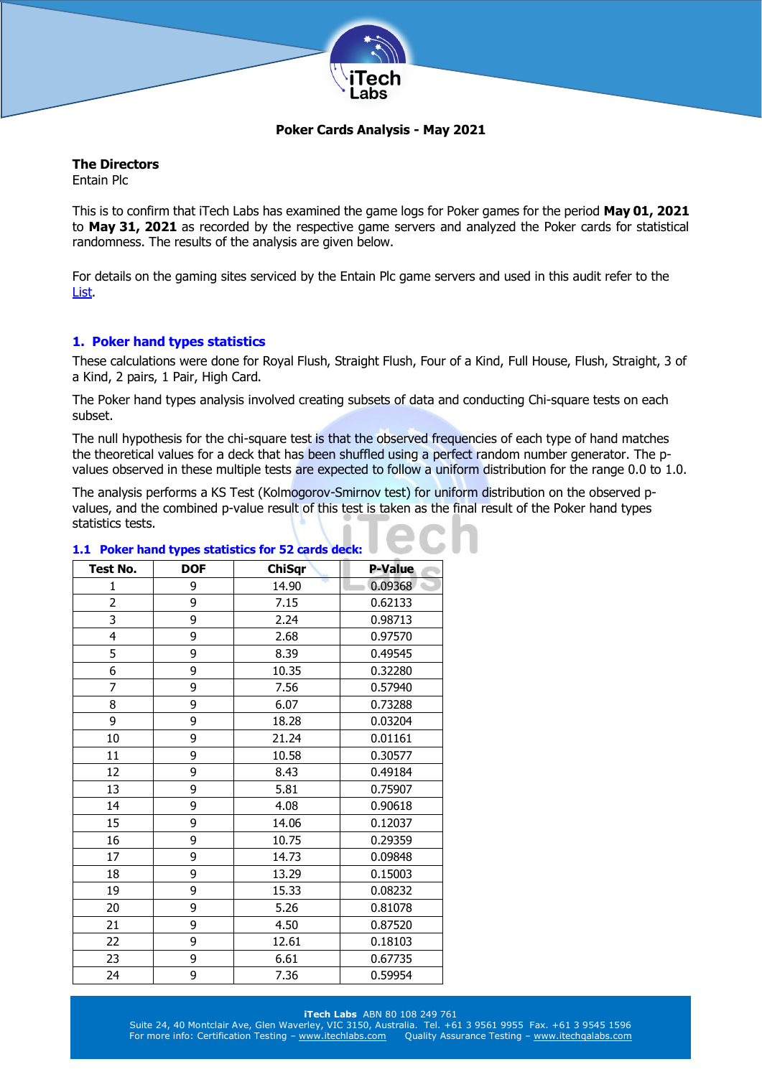

# **Poker Cards Analysis - May 2021**

# **The Directors**

Entain Plc

This is to confirm that iTech Labs has examined the game logs for Poker games for the period **May 01, 2021** to **May 31, 2021** as recorded by the respective game servers and analyzed the Poker cards for statistical randomness. The results of the analysis are given below.

For details on the gaming sites serviced by the Entain Plc game servers and used in this audit refer to the [List.](http://www.itechlabs.com/certificates/Entain/Poker_Gaming_Sites_May21.pdf)

# **1. Poker hand types statistics**

These calculations were done for Royal Flush, Straight Flush, Four of a Kind, Full House, Flush, Straight, 3 of a Kind, 2 pairs, 1 Pair, High Card.

The Poker hand types analysis involved creating subsets of data and conducting Chi-square tests on each subset.

The null hypothesis for the chi-square test is that the observed frequencies of each type of hand matches the theoretical values for a deck that has been shuffled using a perfect random number generator. The pvalues observed in these multiple tests are expected to follow a uniform distribution for the range 0.0 to 1.0.

The analysis performs a KS Test (Kolmogorov-Smirnov test) for uniform distribution on the observed pvalues, and the combined p-value result of this test is taken as the final result of the Poker hand types statistics tests.

| <b>Test No.</b> | <b>DOF</b> | <b>ChiSqr</b> | <b>P-Value</b> |
|-----------------|------------|---------------|----------------|
| 1               | 9          | 14.90         | 0.09368        |
| $\overline{2}$  | 9          | 7.15          | 0.62133        |
| 3               | 9          | 2.24          | 0.98713        |
| 4               | 9          | 2.68          | 0.97570        |
| 5               | 9          | 8.39          | 0.49545        |
| 6               | 9          | 10.35         | 0.32280        |
| 7               | 9          | 7.56          | 0.57940        |
| 8               | 9          | 6.07          | 0.73288        |
| 9               | 9          | 18.28         | 0.03204        |
| 10              | 9          | 21.24         | 0.01161        |
| 11              | 9          | 10.58         | 0.30577        |
| 12              | 9          | 8.43          | 0.49184        |
| 13              | 9          | 5.81          | 0.75907        |
| 14              | 9          | 4.08          | 0.90618        |
| 15              | 9          | 14.06         | 0.12037        |
| 16              | 9          | 10.75         | 0.29359        |
| 17              | 9          | 14.73         | 0.09848        |
| 18              | 9          | 13.29         | 0.15003        |
| 19              | 9          | 15.33         | 0.08232        |
| 20              | 9          | 5.26          | 0.81078        |
| 21              | 9          | 4.50          | 0.87520        |
| 22              | 9          | 12.61         | 0.18103        |
| 23              | 9          | 6.61          | 0.67735        |
| 24              | 9          | 7.36          | 0.59954        |

# **1.1 Poker hand types statistics for 52 cards deck:**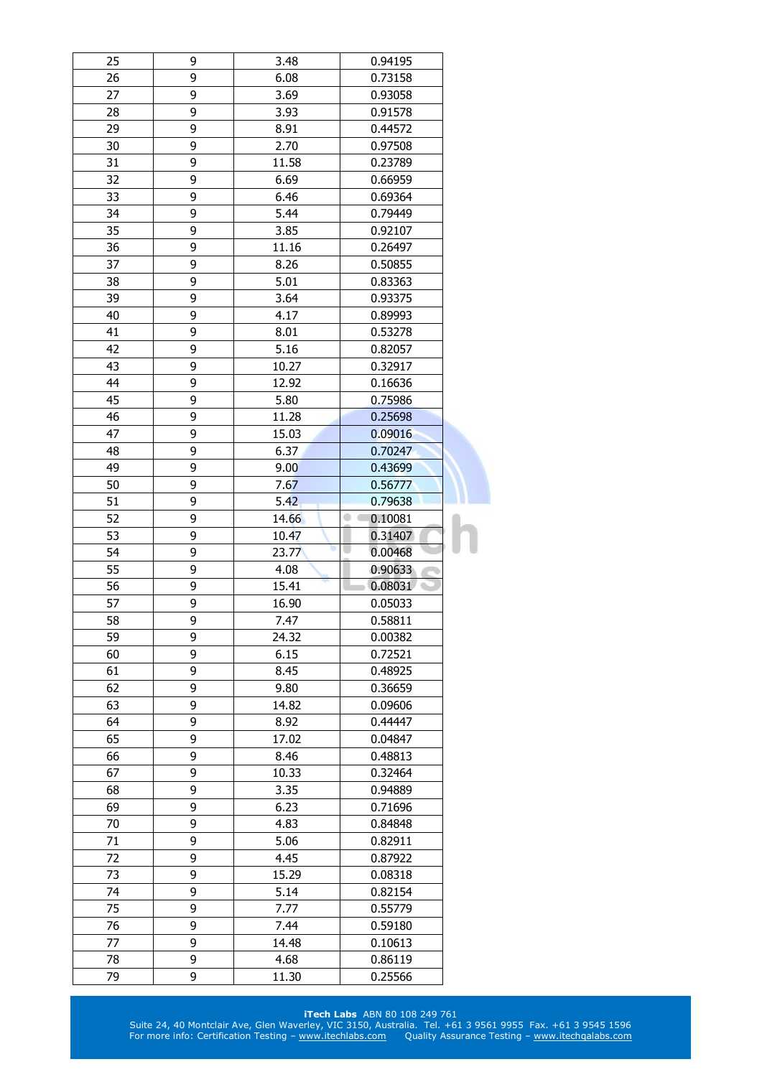| 25 | 9      | 3.48       | 0.94195      |  |
|----|--------|------------|--------------|--|
| 26 | 9      | 6.08       | 0.73158      |  |
| 27 | 9      | 3.69       | 0.93058      |  |
| 28 | 9      | 3.93       | 0.91578      |  |
| 29 | 9      | 8.91       | 0.44572      |  |
| 30 | 9      | 2.70       | 0.97508      |  |
| 31 | 9      | 11.58      | 0.23789      |  |
| 32 | 9      | 6.69       | 0.66959      |  |
| 33 | 9      | 6.46       | 0.69364      |  |
| 34 | 9      | 5.44       | 0.79449      |  |
| 35 | 9      | 3.85       | 0.92107      |  |
| 36 | 9      | 11.16      | 0.26497      |  |
| 37 | 9      | 8.26       | 0.50855      |  |
| 38 | 9      | 5.01       | 0.83363      |  |
| 39 | 9      | 3.64       | 0.93375      |  |
| 40 | 9      | 4.17       | 0.89993      |  |
| 41 | 9      | 8.01       | 0.53278      |  |
| 42 | 9      | 5.16       | 0.82057      |  |
| 43 | 9      | 10.27      | 0.32917      |  |
| 44 | 9      | 12.92      | 0.16636      |  |
| 45 | 9      | 5.80       | 0.75986      |  |
| 46 | 9      | 11.28      | 0.25698      |  |
| 47 | 9      | 15.03      | 0.09016      |  |
|    |        |            |              |  |
| 48 | 9<br>9 | 6.37       | 0.70247      |  |
| 49 |        | 9.00       | 0.43699      |  |
| 50 | 9      | 7.67       | 0.56777      |  |
| 51 | 9      | 5.42       | 0.79638      |  |
| 52 | 9      | 14.66      | 0.10081<br>۰ |  |
| 53 | 9      | 10.47<br>聅 | 0.31407      |  |
| 54 | 9      | 23.77      | 0.00468      |  |
| 55 | 9      | 4.08       | 0.90633      |  |
| 56 | 9      | 15.41      | 0.08031      |  |
| 57 | 9      | 16.90      | 0.05033      |  |
| 58 | 9      | 7.47       | 0.58811      |  |
| 59 | 9      | 24.32      | 0.00382      |  |
| 60 | 9      | 6.15       | 0.72521      |  |
| 61 | 9      | 8.45       | 0.48925      |  |
| 62 | 9      | 9.80       | 0.36659      |  |
| 63 | 9      | 14.82      | 0.09606      |  |
| 64 | 9      | 8.92       | 0.44447      |  |
| 65 | 9      | 17.02      | 0.04847      |  |
| 66 | 9      | 8.46       | 0.48813      |  |
| 67 | 9      | 10.33      | 0.32464      |  |
| 68 | 9      | 3.35       | 0.94889      |  |
| 69 | 9      | 6.23       | 0.71696      |  |
| 70 | 9      | 4.83       | 0.84848      |  |
| 71 | 9      | 5.06       | 0.82911      |  |
| 72 | 9      | 4.45       | 0.87922      |  |
| 73 | 9      | 15.29      | 0.08318      |  |
| 74 | 9      | 5.14       | 0.82154      |  |
| 75 | 9      | 7.77       | 0.55779      |  |
| 76 | 9      | 7.44       | 0.59180      |  |
| 77 | 9      | 14.48      | 0.10613      |  |
| 78 |        |            |              |  |
|    | 9      | 4.68       | 0.86119      |  |
| 79 | 9      | 11.30      | 0.25566      |  |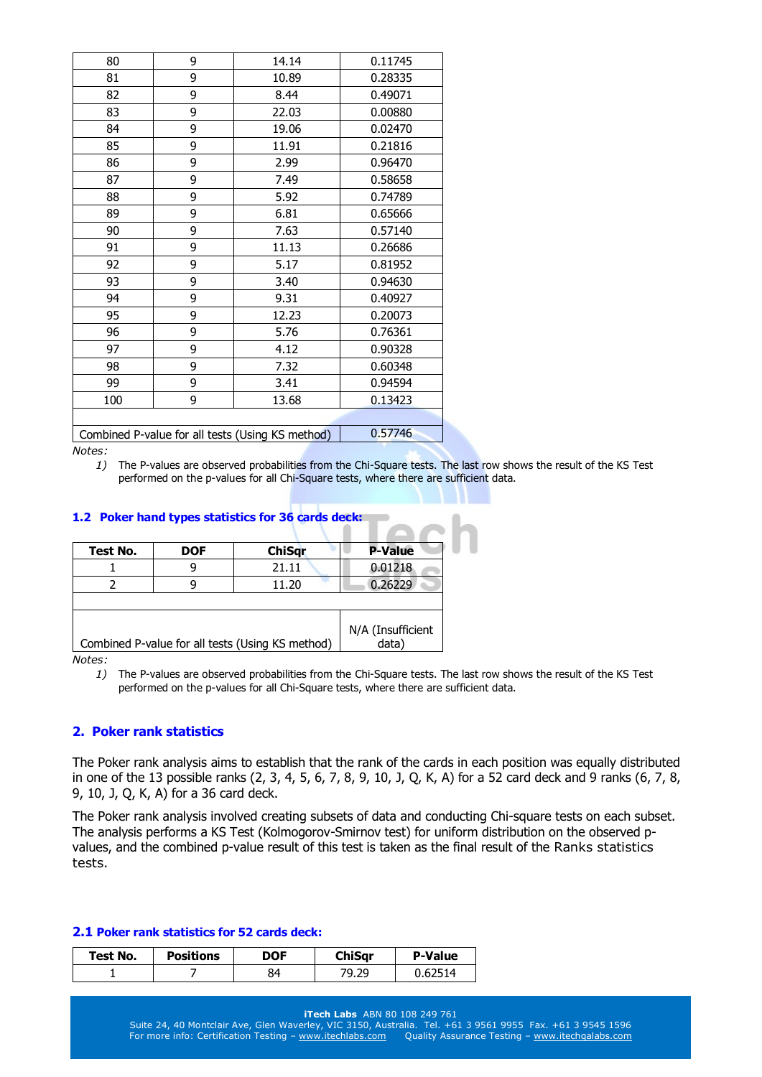| 80  | 9 | 14.14                                            | 0.11745 |
|-----|---|--------------------------------------------------|---------|
| 81  | 9 | 10.89                                            | 0.28335 |
| 82  | 9 | 8.44                                             | 0.49071 |
| 83  | 9 | 22.03                                            | 0.00880 |
| 84  | 9 | 19.06                                            | 0.02470 |
| 85  | 9 | 11.91                                            | 0.21816 |
| 86  | 9 | 2.99                                             | 0.96470 |
| 87  | 9 | 7.49                                             | 0.58658 |
| 88  | 9 | 5.92                                             | 0.74789 |
| 89  | 9 | 6.81                                             | 0.65666 |
| 90  | 9 | 7.63                                             | 0.57140 |
| 91  | 9 | 11.13                                            | 0.26686 |
| 92  | 9 | 5.17                                             | 0.81952 |
| 93  | 9 | 3.40                                             | 0.94630 |
| 94  | 9 | 9.31                                             | 0.40927 |
| 95  | 9 | 12.23                                            | 0.20073 |
| 96  | 9 | 5.76                                             | 0.76361 |
| 97  | 9 | 4.12                                             | 0.90328 |
| 98  | 9 | 7.32                                             | 0.60348 |
| 99  | 9 | 3.41                                             | 0.94594 |
| 100 | 9 | 13.68                                            | 0.13423 |
|     |   |                                                  |         |
|     |   | Combined P-value for all tests (Using KS method) | 0.57746 |

*1)* The P-values are observed probabilities from the Chi-Square tests. The last row shows the result of the KS Test performed on the p-values for all Chi-Square tests, where there are sufficient data.

# **1.2 Poker hand types statistics for 36 cards deck:**

| Test No. | <b>DOF</b> | <b>ChiSqr</b>                                    | <b>P-Value</b>             |
|----------|------------|--------------------------------------------------|----------------------------|
|          |            | 21.11                                            | 0.01218                    |
|          |            | 11.20                                            | 0.26229                    |
|          |            |                                                  |                            |
|          |            | Combined P-value for all tests (Using KS method) | N/A (Insufficient<br>data) |

*Notes:* 

*1)* The P-values are observed probabilities from the Chi-Square tests. The last row shows the result of the KS Test performed on the p-values for all Chi-Square tests, where there are sufficient data.

## **2. Poker rank statistics**

The Poker rank analysis aims to establish that the rank of the cards in each position was equally distributed in one of the 13 possible ranks (2, 3, 4, 5, 6, 7, 8, 9, 10, J, Q, K, A) for a 52 card deck and 9 ranks (6, 7, 8, 9, 10, J, Q, K, A) for a 36 card deck.

The Poker rank analysis involved creating subsets of data and conducting Chi-square tests on each subset. The analysis performs a KS Test (Kolmogorov-Smirnov test) for uniform distribution on the observed pvalues, and the combined p-value result of this test is taken as the final result of the Ranks statistics tests.

## **2.1 Poker rank statistics for 52 cards deck:**

| Test No. | <b>Positions</b> | DOF | ChiSar | <b>P-Value</b> |
|----------|------------------|-----|--------|----------------|
|          |                  | 84  | 79.29  | 0.62514        |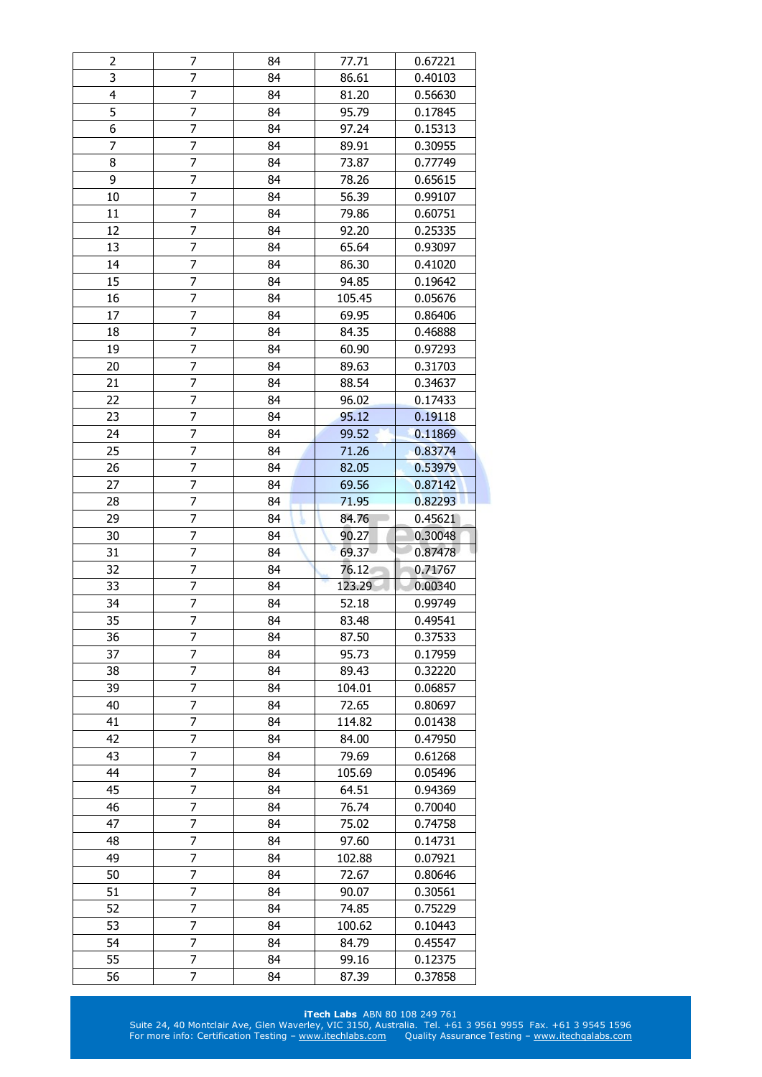| 2              | 7                   | 84       | 77.71  | 0.67221            |
|----------------|---------------------|----------|--------|--------------------|
| 3              | 7                   | 84       | 86.61  | 0.40103            |
| $\overline{4}$ | $\overline{7}$      | 84       | 81.20  | 0.56630            |
| 5              | 7                   | 84       | 95.79  | 0.17845            |
| 6              | 7                   | 84       | 97.24  | 0.15313            |
| 7              | $\overline{7}$      | 84       | 89.91  | 0.30955            |
| 8              | 7                   | 84       | 73.87  | 0.77749            |
| 9              | 7                   | 84       | 78.26  | 0.65615            |
| 10             | 7                   | 84       | 56.39  | 0.99107            |
| 11             | $\overline{7}$      | 84       | 79.86  | 0.60751            |
| 12             | 7                   | 84       | 92.20  | 0.25335            |
| 13             | 7                   | 84       | 65.64  | 0.93097            |
| 14             | 7                   | 84       | 86.30  | 0.41020            |
| 15             | 7                   | 84       | 94.85  | 0.19642            |
| 16             | 7                   | 84       | 105.45 | 0.05676            |
| 17             | 7                   | 84       | 69.95  | 0.86406            |
| 18             | 7                   | 84       | 84.35  | 0.46888            |
| 19             | 7                   | 84       | 60.90  | 0.97293            |
| 20             | $\overline{7}$      | 84       | 89.63  | 0.31703            |
| 21             | 7                   | 84       | 88.54  | 0.34637            |
| 22             | 7                   | 84       | 96.02  | 0.17433            |
| 23             | 7                   | 84       | 95.12  | 0.19118            |
| 24             | 7                   |          |        |                    |
|                | $\overline{7}$      | 84       | 99.52  | 0.11869            |
| 25             | $\overline{7}$      | 84       | 71.26  | 0.83774            |
| 26             |                     | 84       | 82.05  | 0.53979            |
| 27<br>28       | 7<br>$\overline{7}$ | 84<br>84 | 69.56  | 0.87142            |
| 29             | 7                   |          | 71.95  | 0.82293            |
|                |                     |          |        |                    |
|                |                     | 84       | 84.76  | 0.45621            |
| 30             | $\overline{7}$      | 84       | 90.27  | 0.30048            |
| 31             | 7                   | 84       | 69.37  | 0.87478            |
| 32             | 7                   | 84       | 76.12  | 0.71767            |
| 33             | 7                   | 84       | 123.29 | 0.00340            |
| 34             | 7                   | 84       | 52.18  | 0.99749            |
| 35             | $\overline{7}$      | 84       | 83.48  | 0.49541            |
| 36             | 7                   | 84       | 87.50  | 0.37533            |
| 37             | 7                   | 84       | 95.73  | 0.17959            |
| 38             | 7                   | 84       | 89.43  | 0.32220            |
| 39             | 7                   | 84       | 104.01 | 0.06857            |
| 40             | 7                   | 84       | 72.65  | 0.80697            |
| 41             | 7                   | 84       | 114.82 | 0.01438            |
| 42             | 7                   | 84       | 84.00  | 0.47950            |
| 43             | 7                   | 84       | 79.69  | 0.61268            |
| 44             | 7                   | 84       | 105.69 | 0.05496            |
| 45             | 7                   | 84       | 64.51  | 0.94369            |
| 46             | 7                   | 84       | 76.74  | 0.70040            |
| 47             | 7                   | 84       | 75.02  | 0.74758            |
| 48             | 7                   | 84       | 97.60  | 0.14731            |
| 49             | 7                   | 84       | 102.88 | 0.07921            |
| 50             | 7                   | 84       | 72.67  | 0.80646            |
| 51             | 7                   | 84       | 90.07  | 0.30561            |
| 52             | 7                   | 84       | 74.85  | 0.75229            |
| 53             | 7                   | 84       | 100.62 | 0.10443            |
| 54             | 7                   | 84       | 84.79  | 0.45547            |
| 55             | 7                   | 84       | 99.16  | 0.12375<br>0.37858 |

## **iTech Labs** ABN 80 108 249 761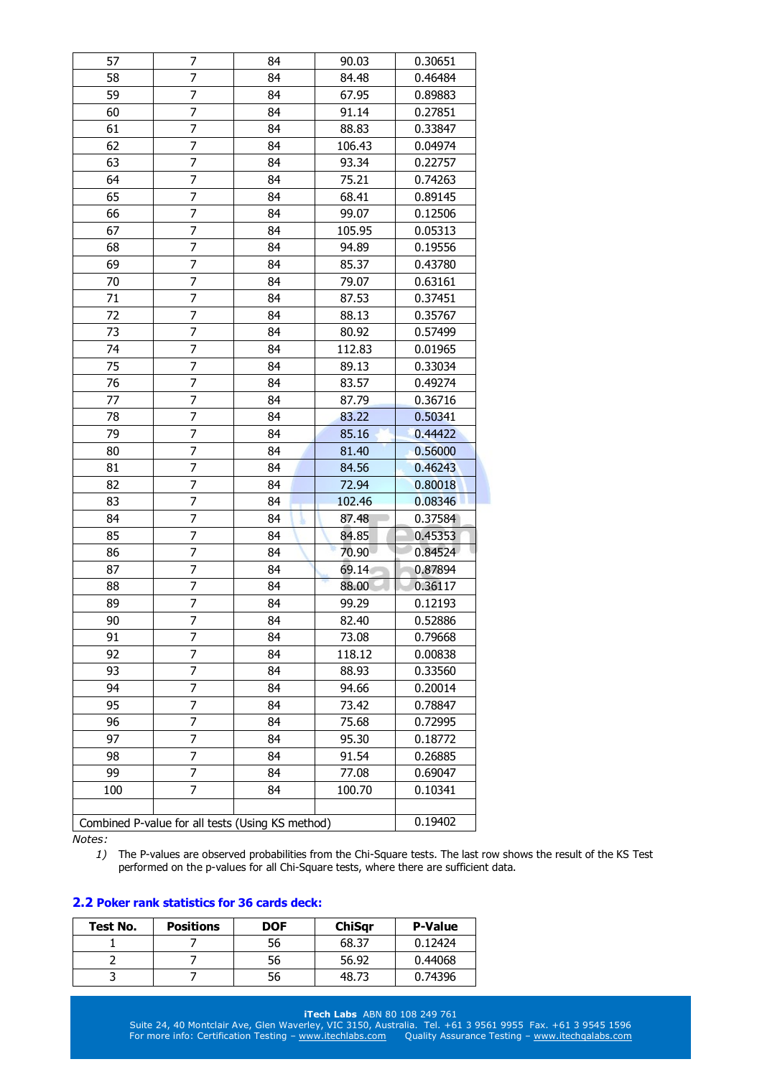| 57  | 7                                                | 84 | 90.03  | 0.30651 |
|-----|--------------------------------------------------|----|--------|---------|
| 58  | 7                                                | 84 | 84.48  | 0.46484 |
| 59  | 7                                                | 84 | 67.95  | 0.89883 |
| 60  | 7                                                | 84 | 91.14  | 0.27851 |
| 61  | 7                                                | 84 | 88.83  | 0.33847 |
| 62  | 7                                                | 84 | 106.43 | 0.04974 |
| 63  | 7                                                | 84 | 93.34  | 0.22757 |
| 64  | 7                                                | 84 | 75.21  | 0.74263 |
| 65  | 7                                                | 84 | 68.41  | 0.89145 |
| 66  | 7                                                | 84 | 99.07  | 0.12506 |
| 67  | 7                                                | 84 | 105.95 | 0.05313 |
| 68  | 7                                                | 84 | 94.89  | 0.19556 |
| 69  | 7                                                | 84 | 85.37  | 0.43780 |
| 70  | 7                                                | 84 | 79.07  | 0.63161 |
| 71  | 7                                                | 84 | 87.53  | 0.37451 |
| 72  | 7                                                | 84 | 88.13  | 0.35767 |
| 73  | 7                                                | 84 | 80.92  | 0.57499 |
| 74  | 7                                                | 84 | 112.83 | 0.01965 |
| 75  | 7                                                | 84 | 89.13  | 0.33034 |
| 76  | 7                                                | 84 | 83.57  | 0.49274 |
| 77  | 7                                                | 84 | 87.79  | 0.36716 |
| 78  | 7                                                | 84 | 83.22  | 0.50341 |
| 79  | $\overline{7}$                                   | 84 | 85.16  | 0.44422 |
| 80  | 7                                                | 84 | 81.40  | 0.56000 |
| 81  | 7                                                | 84 | 84.56  | 0.46243 |
| 82  | 7                                                | 84 | 72.94  | 0.80018 |
| 83  | 7                                                | 84 | 102.46 | 0.08346 |
| 84  | $\overline{7}$                                   | 84 | 87.48  | 0.37584 |
| 85  | 7                                                | 84 | 84.85  | 0.45353 |
| 86  | 7                                                | 84 | 70.90  | 0.84524 |
| 87  | 7                                                | 84 | 69.14  | 0.87894 |
| 88  | 7                                                | 84 | 88.00  | 0.36117 |
| 89  | 7                                                | 84 | 99.29  | 0.12193 |
| 90  | $\overline{7}$                                   | 84 | 82.40  | 0.52886 |
| 91  | 7                                                | 84 | 73.08  | 0.79668 |
| 92  | 7                                                | 84 | 118.12 | 0.00838 |
| 93  | 7                                                | 84 | 88.93  | 0.33560 |
| 94  | 7                                                | 84 | 94.66  | 0.20014 |
| 95  | 7                                                | 84 | 73.42  | 0.78847 |
| 96  | 7                                                | 84 | 75.68  | 0.72995 |
| 97  | 7                                                | 84 | 95.30  | 0.18772 |
| 98  | 7                                                | 84 | 91.54  | 0.26885 |
| 99  | 7                                                | 84 | 77.08  | 0.69047 |
| 100 | 7                                                | 84 | 100.70 | 0.10341 |
|     |                                                  |    |        |         |
|     | Combined P-value for all tests (Using KS method) |    |        | 0.19402 |

*1)* The P-values are observed probabilities from the Chi-Square tests. The last row shows the result of the KS Test performed on the p-values for all Chi-Square tests, where there are sufficient data.

# **2.2 Poker rank statistics for 36 cards deck:**

| Test No. | <b>Positions</b> | <b>DOF</b> | <b>ChiSar</b> | <b>P-Value</b> |
|----------|------------------|------------|---------------|----------------|
|          |                  | 56         | 68.37         | 0.12424        |
|          |                  | 56         | 56.92         | 0.44068        |
|          |                  | 56         | 48.73         | 0.74396        |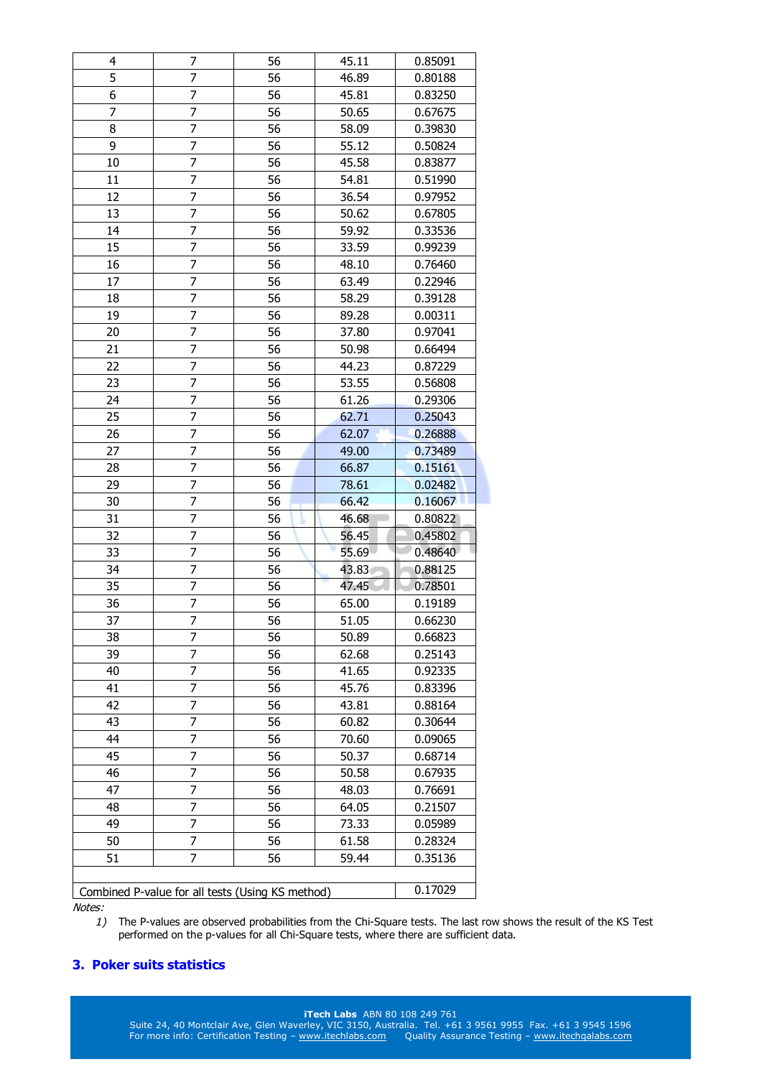| 4  | 7                                                | 56 | 45.11 | 0.85091 |
|----|--------------------------------------------------|----|-------|---------|
| 5  | 7                                                | 56 | 46.89 | 0.80188 |
| 6  | 7                                                | 56 | 45.81 | 0.83250 |
| 7  | $\overline{7}$                                   | 56 | 50.65 | 0.67675 |
| 8  | 7                                                | 56 | 58.09 | 0.39830 |
| 9  | 7                                                | 56 | 55.12 | 0.50824 |
| 10 | 7                                                | 56 | 45.58 | 0.83877 |
| 11 | 7                                                | 56 | 54.81 | 0.51990 |
| 12 | $\overline{7}$                                   | 56 | 36.54 | 0.97952 |
| 13 | 7                                                | 56 | 50.62 | 0.67805 |
| 14 | 7                                                | 56 | 59.92 | 0.33536 |
| 15 | 7                                                | 56 | 33.59 | 0.99239 |
| 16 | 7                                                | 56 | 48.10 | 0.76460 |
| 17 | 7                                                | 56 | 63.49 | 0.22946 |
| 18 | 7                                                | 56 | 58.29 | 0.39128 |
| 19 | $\overline{7}$                                   | 56 | 89.28 | 0.00311 |
| 20 | 7                                                | 56 | 37.80 | 0.97041 |
| 21 | $\overline{7}$                                   | 56 | 50.98 | 0.66494 |
| 22 | 7                                                | 56 | 44.23 | 0.87229 |
| 23 | 7                                                | 56 | 53.55 | 0.56808 |
| 24 | 7                                                | 56 | 61.26 | 0.29306 |
| 25 | 7                                                | 56 | 62.71 | 0.25043 |
| 26 | $\overline{7}$                                   | 56 | 62.07 | 0.26888 |
| 27 | 7                                                | 56 | 49.00 | 0.73489 |
| 28 | 7                                                | 56 | 66.87 | 0.15161 |
| 29 | 7                                                | 56 | 78.61 | 0.02482 |
| 30 | 7                                                | 56 | 66.42 | 0.16067 |
| 31 | $\overline{7}$                                   | 56 | 46.68 | 0.80822 |
| 32 | $\overline{7}$                                   | 56 | 56.45 | 0.45802 |
| 33 | 7                                                | 56 | 55.69 | 0.48640 |
| 34 | 7                                                | 56 | 43.83 | 0.88125 |
| 35 | 7                                                | 56 | 47.45 | 0.78501 |
| 36 | 7                                                | 56 | 65.00 | 0.19189 |
| 37 | $\overline{7}$                                   | 56 | 51.05 | 0.66230 |
| 38 | 7                                                | 56 | 50.89 | 0.66823 |
| 39 | 7                                                | 56 | 62.68 | 0.25143 |
| 40 | 7                                                | 56 | 41.65 | 0.92335 |
| 41 | 7                                                | 56 | 45.76 | 0.83396 |
| 42 | 7                                                | 56 | 43.81 | 0.88164 |
| 43 | 7                                                | 56 | 60.82 | 0.30644 |
| 44 | 7                                                | 56 | 70.60 | 0.09065 |
| 45 | 7                                                | 56 | 50.37 | 0.68714 |
| 46 | 7                                                | 56 | 50.58 | 0.67935 |
| 47 | 7                                                | 56 | 48.03 | 0.76691 |
| 48 | 7                                                | 56 | 64.05 | 0.21507 |
| 49 | 7                                                | 56 | 73.33 | 0.05989 |
| 50 | 7                                                | 56 | 61.58 | 0.28324 |
| 51 | 7                                                | 56 | 59.44 | 0.35136 |
|    |                                                  |    |       |         |
|    | Combined P-value for all tests (Using KS method) |    |       | 0.17029 |

*1)* The P-values are observed probabilities from the Chi-Square tests. The last row shows the result of the KS Test performed on the p-values for all Chi-Square tests, where there are sufficient data.

# **3. Poker suits statistics**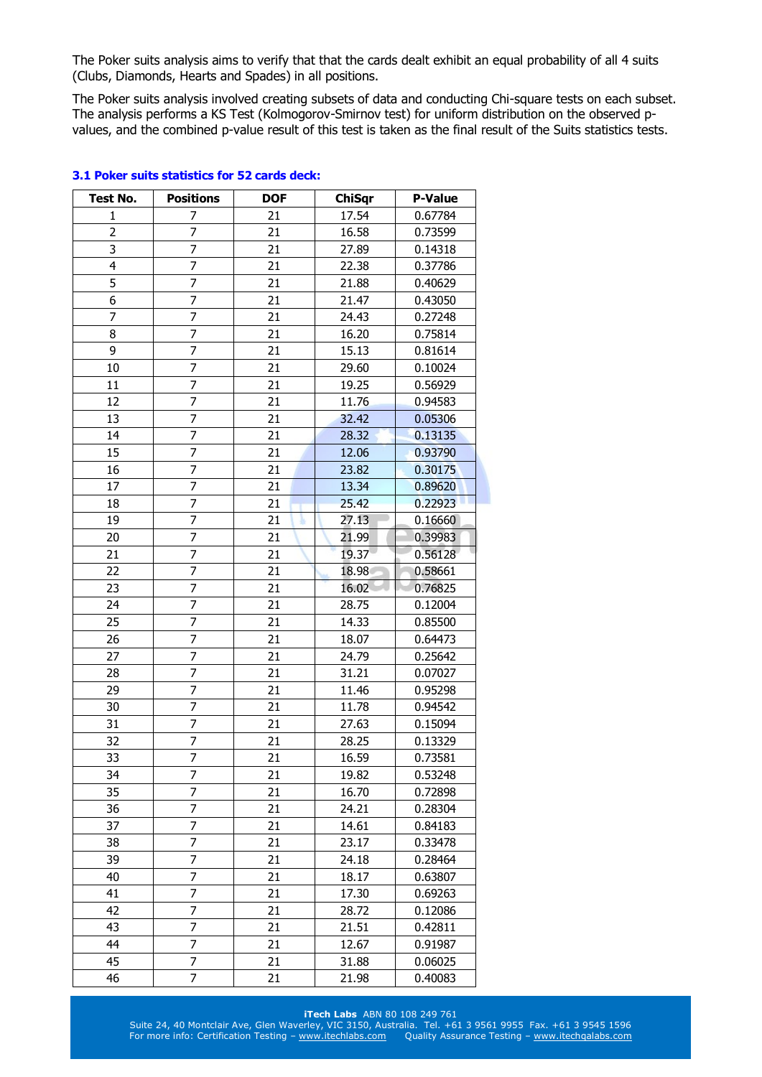The Poker suits analysis aims to verify that that the cards dealt exhibit an equal probability of all 4 suits (Clubs, Diamonds, Hearts and Spades) in all positions.

The Poker suits analysis involved creating subsets of data and conducting Chi-square tests on each subset. The analysis performs a KS Test (Kolmogorov-Smirnov test) for uniform distribution on the observed pvalues, and the combined p-value result of this test is taken as the final result of the Suits statistics tests.

| Test No.       | <b>Positions</b> | <b>DOF</b> | <b>ChiSqr</b> | <b>P-Value</b> |
|----------------|------------------|------------|---------------|----------------|
| 1              | 7                | 21         | 17.54         | 0.67784        |
| $\overline{2}$ | $\overline{7}$   | 21         | 16.58         | 0.73599        |
| 3              | 7                | 21         | 27.89         | 0.14318        |
| $\overline{4}$ | 7                | 21         | 22.38         | 0.37786        |
| $\overline{5}$ | 7                | 21         | 21.88         | 0.40629        |
| 6              | 7                | 21         | 21.47         | 0.43050        |
| 7              | 7                | 21         | 24.43         | 0.27248        |
| 8              | $\overline{7}$   | 21         | 16.20         | 0.75814        |
| 9              | 7                | 21         | 15.13         | 0.81614        |
| 10             | $\overline{7}$   | 21         | 29.60         | 0.10024        |
| 11             | $\overline{7}$   | 21         | 19.25         | 0.56929        |
| 12             | 7                | 21         | 11.76         | 0.94583        |
| 13             | $\overline{7}$   | 21         | 32.42         | 0.05306        |
| 14             | $\overline{7}$   | 21         | 28.32         | 0.13135        |
| 15             | 7                | 21         | 12.06         | 0.93790        |
| 16             | 7                | 21         | 23.82         | 0.30175        |
| 17             | 7                | 21         | 13.34         | 0.89620        |
| 18             | 7                | 21         | 25.42         | 0.22923        |
| 19             | 7                | 21         | 27.13         | 0.16660        |
| 20             | $\overline{7}$   | 21         | 21.99         | 0.39983        |
| 21             | $\overline{7}$   | 21         | 19.37         | 0.56128        |
| 22             | 7                | 21         | 18.98         | 0.58661        |
| 23             | 7                | 21         | 16.02         | 0.76825        |
| 24             | $\overline{7}$   | 21         | 28.75         | 0.12004        |
| 25             | 7                | 21         | 14.33         | 0.85500        |
| 26             | 7                | 21         | 18.07         | 0.64473        |
| 27             | $\overline{7}$   | 21         | 24.79         | 0.25642        |
| 28             | 7                | 21         | 31.21         | 0.07027        |
| 29             | $\overline{7}$   | 21         | 11.46         | 0.95298        |
| 30             | $\overline{7}$   | 21         | 11.78         | 0.94542        |
| 31             | 7                | 21         | 27.63         | 0.15094        |
| 32             | $\overline{7}$   | 21         | 28.25         | 0.13329        |
| 33             | $\overline{7}$   | 21         | 16.59         | 0.73581        |
| 34             | 7                | 21         | 19.82         | 0.53248        |
| 35             | 7                | 21         | 16.70         | 0.72898        |
| 36             | 7                | 21         | 24.21         | 0.28304        |
| 37             | 7                | 21         | 14.61         | 0.84183        |
| 38             | 7                | 21         | 23.17         | 0.33478        |
| 39             | 7                | 21         | 24.18         | 0.28464        |
| 40             | 7                | 21         | 18.17         | 0.63807        |
| 41             | 7                | 21         | 17.30         | 0.69263        |
| 42             | 7                | 21         | 28.72         | 0.12086        |
| 43             | 7                | 21         | 21.51         | 0.42811        |
| 44             | 7                | 21         | 12.67         | 0.91987        |
| 45             | 7                | 21         | 31.88         | 0.06025        |
| 46             | $\overline{7}$   | 21         | 21.98         | 0.40083        |

# **3.1 Poker suits statistics for 52 cards deck:**

#### **iTech Labs** ABN 80 108 249 761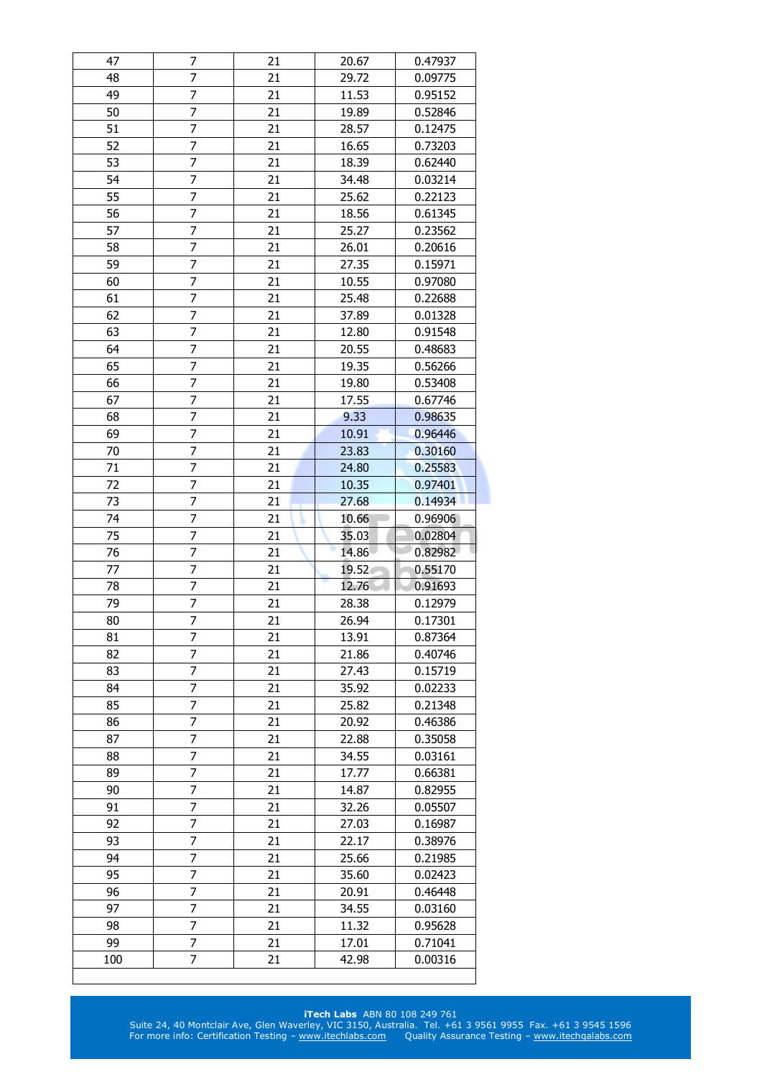| 47  | 7              | 21 | 20.67 | 0.47937 |
|-----|----------------|----|-------|---------|
| 48  | 7              | 21 | 29.72 | 0.09775 |
| 49  | 7              | 21 | 11.53 | 0.95152 |
| 50  | 7              | 21 | 19.89 | 0.52846 |
| 51  | 7              | 21 | 28.57 | 0.12475 |
| 52  | $\overline{7}$ | 21 | 16.65 | 0.73203 |
| 53  | 7              | 21 | 18.39 | 0.62440 |
| 54  | 7              | 21 | 34.48 | 0.03214 |
| 55  | 7              | 21 | 25.62 | 0.22123 |
| 56  | 7              | 21 | 18.56 | 0.61345 |
| 57  | 7              | 21 | 25.27 | 0.23562 |
| 58  | 7              | 21 | 26.01 | 0.20616 |
| 59  | 7              | 21 | 27.35 | 0.15971 |
| 60  | 7              | 21 | 10.55 | 0.97080 |
| 61  | 7              | 21 | 25.48 | 0.22688 |
| 62  | 7              | 21 | 37.89 | 0.01328 |
| 63  | 7              | 21 | 12.80 | 0.91548 |
| 64  | 7              | 21 | 20.55 | 0.48683 |
| 65  | $\overline{7}$ | 21 | 19.35 | 0.56266 |
| 66  | 7              | 21 | 19.80 | 0.53408 |
| 67  | 7              | 21 | 17.55 | 0.67746 |
| 68  | 7              | 21 | 9.33  | 0.98635 |
| 69  | 7              | 21 | 10.91 | 0.96446 |
| 70  | 7              | 21 | 23.83 | 0.30160 |
| 71  | $\overline{7}$ | 21 | 24.80 | 0.25583 |
| 72  | 7              | 21 | 10.35 | 0.97401 |
| 73  | 7              | 21 | 27.68 | 0.14934 |
| 74  | 7              | 21 | 10.66 | 0.96906 |
| 75  | 7              | 21 | 35.03 | 0.02804 |
| 76  | 7              | 21 | 14.86 | 0.82982 |
|     |                |    |       |         |
|     |                |    |       |         |
| 77  | 7              | 21 | 19.52 | 0.55170 |
| 78  | 7              | 21 | 12.76 | 0.91693 |
| 79  | 7              | 21 | 28.38 | 0.12979 |
| 80  | $\overline{7}$ | 21 | 26.94 | 0.17301 |
| 81  | 7              | 21 | 13.91 | 0.87364 |
| 82  | 7              | 21 | 21.86 | 0.40746 |
| 83  | 7              | 21 | 27.43 | 0.15719 |
| 84  | 7              | 21 | 35.92 | 0.02233 |
| 85  | 7              | 21 | 25.82 | 0.21348 |
| 86  | 7              | 21 | 20.92 | 0.46386 |
| 87  | 7              | 21 | 22.88 | 0.35058 |
| 88  | 7              | 21 | 34.55 | 0.03161 |
| 89  | 7              | 21 | 17.77 | 0.66381 |
| 90  | 7              | 21 | 14.87 | 0.82955 |
| 91  | 7              | 21 | 32.26 | 0.05507 |
| 92  | 7              | 21 | 27.03 | 0.16987 |
| 93  | 7              | 21 | 22.17 | 0.38976 |
| 94  | 7              | 21 | 25.66 | 0.21985 |
| 95  | 7              | 21 | 35.60 | 0.02423 |
| 96  | 7              | 21 | 20.91 | 0.46448 |
| 97  | 7              | 21 | 34.55 | 0.03160 |
| 98  | 7              | 21 | 11.32 | 0.95628 |
| 99  | 7              | 21 | 17.01 | 0.71041 |
| 100 | 7              | 21 | 42.98 | 0.00316 |

### **iTech Labs** ABN 80 108 249 761 Suite 24, 40 Montclair Ave, Glen Waverley, VIC 3150, Australia. Tel. +61 3 9561 9955 Fax. +61 3 9545 1596 For more info: Certification Testing – [www.itechlabs.com](http://www.itechlabs.com/) Quality Assurance Testing – www.itechgalabs.com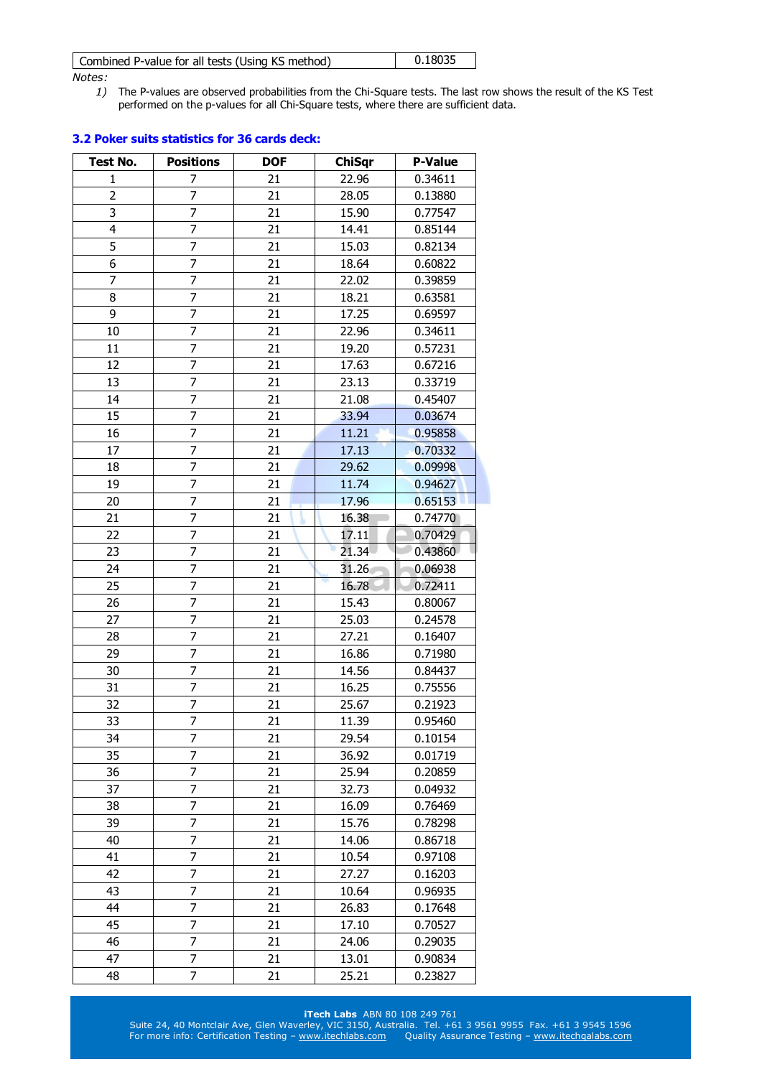| Combined P-value for all tests (Using KS method) | 0.18035 |
|--------------------------------------------------|---------|
|                                                  |         |

*1)* The P-values are observed probabilities from the Chi-Square tests. The last row shows the result of the KS Test performed on the p-values for all Chi-Square tests, where there are sufficient data.

| Test No.       | <b>Positions</b> | <b>DOF</b> | <b>ChiSqr</b> | <b>P-Value</b> |
|----------------|------------------|------------|---------------|----------------|
| 1              | 7                | 21         | 22.96         | 0.34611        |
| $\overline{2}$ | $\overline{7}$   | 21         | 28.05         | 0.13880        |
| 3              | 7                | 21         | 15.90         | 0.77547        |
| 4              | 7                | 21         | 14.41         | 0.85144        |
| 5              | 7                | 21         | 15.03         | 0.82134        |
| 6              | 7                | 21         | 18.64         | 0.60822        |
| $\overline{7}$ | $\overline{7}$   | 21         | 22.02         | 0.39859        |
| 8              | 7                | 21         | 18.21         | 0.63581        |
| 9              | 7                | 21         | 17.25         | 0.69597        |
| 10             | 7                | 21         | 22.96         | 0.34611        |
| 11             | $\overline{7}$   | 21         | 19.20         | 0.57231        |
| 12             | 7                | 21         | 17.63         | 0.67216        |
| 13             | 7                | 21         | 23.13         | 0.33719        |
| 14             | $\overline{7}$   | 21         | 21.08         | 0.45407        |
| 15             | 7                | 21         | 33.94         | 0.03674        |
| 16             | 7                | 21         | 11.21         | 0.95858        |
| 17             | 7                | 21         | 17.13         | 0.70332        |
| 18             | 7                | 21         | 29.62         | 0.09998        |
| 19             | 7                | 21         | 11.74         | 0.94627        |
| 20             | 7                | 21         | 17.96         | 0.65153        |
| 21             | 7                | 21         | 16.38         | 0.74770        |
| 22             | 7                | 21         | 17.11         | 0.70429        |
| 23             | 7                | 21         | 21.34         | 0.43860        |
| 24             | 7                | 21         | 31.26         | 0.06938        |
| 25             | 7                | 21         | 16.78         | 0.72411        |
| 26             | $\overline{7}$   | 21         | 15.43         | 0.80067        |
| 27             | 7                | 21         | 25.03         | 0.24578        |
| 28             | 7                | 21         | 27.21         | 0.16407        |
| 29             | 7                | 21         | 16.86         | 0.71980        |
| 30             | 7                | 21         | 14.56         | 0.84437        |
| 31             | 7                | 21         | 16.25         | 0.75556        |
| 32             | $\overline{7}$   | 21         | 25.67         | 0.21923        |
| 33             | 7                | 21         | 11.39         | 0.95460        |
| 34             | 7                | 21         | 29.54         | 0.10154        |
| 35             | 7                | 21         | 36.92         | 0.01719        |
| 36             | 7                | 21         | 25.94         | 0.20859        |
| 37             | 7                | 21         | 32.73         | 0.04932        |
| 38             | 7                | 21         | 16.09         | 0.76469        |
| 39             | 7                | 21         | 15.76         | 0.78298        |
| 40             | 7                | 21         | 14.06         | 0.86718        |
| 41             | 7                | 21         | 10.54         | 0.97108        |
| 42             | 7                | 21         | 27.27         | 0.16203        |
| 43             | 7                | 21         | 10.64         | 0.96935        |
| 44             | 7                | 21         | 26.83         | 0.17648        |
| 45             | 7                | 21         | 17.10         | 0.70527        |
| 46             | 7                | 21         | 24.06         | 0.29035        |
| 47             | 7                | 21         | 13.01         | 0.90834        |
| 48             | $\overline{7}$   | 21         | 25.21         | 0.23827        |

# **3.2 Poker suits statistics for 36 cards deck:**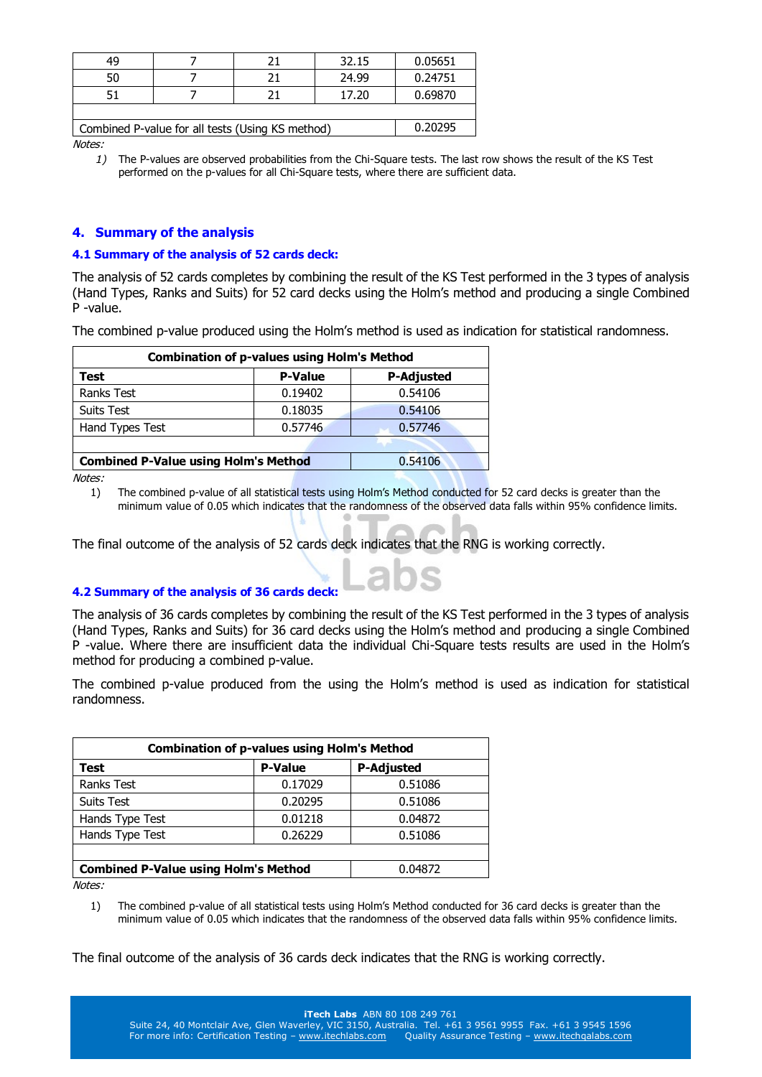| 49                                               |         |  | 32.15 | 0.05651 |  |  |  |
|--------------------------------------------------|---------|--|-------|---------|--|--|--|
| 50                                               |         |  | 24.99 | 0.24751 |  |  |  |
|                                                  |         |  | 17.20 | 0.69870 |  |  |  |
|                                                  |         |  |       |         |  |  |  |
| Combined P-value for all tests (Using KS method) | 0.20295 |  |       |         |  |  |  |

*1)* The P-values are observed probabilities from the Chi-Square tests. The last row shows the result of the KS Test performed on the p-values for all Chi-Square tests, where there are sufficient data.

# **4. Summary of the analysis**

# **4.1 Summary of the analysis of 52 cards deck:**

The analysis of 52 cards completes by combining the result of the KS Test performed in the 3 types of analysis (Hand Types, Ranks and Suits) for 52 card decks using the Holm's method and producing a single Combined P -value.

The combined p-value produced using the Holm's method is used as indication for statistical randomness.

| <b>Combination of p-values using Holm's Method</b> |                |                   |  |  |  |
|----------------------------------------------------|----------------|-------------------|--|--|--|
| Test                                               | <b>P-Value</b> | <b>P-Adjusted</b> |  |  |  |
| <b>Ranks Test</b>                                  | 0.19402        | 0.54106           |  |  |  |
| <b>Suits Test</b>                                  | 0.18035        | 0.54106           |  |  |  |
| Hand Types Test                                    | 0.57746        | 0.57746           |  |  |  |
|                                                    |                |                   |  |  |  |
| <b>Combined P-Value using Holm's Method</b>        | 0.54106        |                   |  |  |  |

Notes:

1) The combined p-value of all statistical tests using Holm's Method conducted for 52 card decks is greater than the minimum value of 0.05 which indicates that the randomness of the observed data falls within 95% confidence limits.

The final outcome of the analysis of 52 cards deck indicates that the RNG is working correctly.

# **4.2 Summary of the analysis of 36 cards deck:**

The analysis of 36 cards completes by combining the result of the KS Test performed in the 3 types of analysis (Hand Types, Ranks and Suits) for 36 card decks using the Holm's method and producing a single Combined P -value. Where there are insufficient data the individual Chi-Square tests results are used in the Holm's method for producing a combined p-value.

The combined p-value produced from the using the Holm's method is used as indication for statistical randomness.

| <b>Combination of p-values using Holm's Method</b> |                |                   |  |  |  |
|----------------------------------------------------|----------------|-------------------|--|--|--|
| Test                                               | <b>P-Value</b> | <b>P-Adjusted</b> |  |  |  |
| <b>Ranks Test</b>                                  | 0.17029        | 0.51086           |  |  |  |
| Suits Test                                         | 0.20295        | 0.51086           |  |  |  |
| Hands Type Test                                    | 0.01218        | 0.04872           |  |  |  |
| Hands Type Test                                    | 0.26229        | 0.51086           |  |  |  |
|                                                    |                |                   |  |  |  |
| <b>Combined P-Value using Holm's Method</b>        | 0.04872        |                   |  |  |  |

Notes:

1) The combined p-value of all statistical tests using Holm's Method conducted for 36 card decks is greater than the minimum value of 0.05 which indicates that the randomness of the observed data falls within 95% confidence limits.

The final outcome of the analysis of 36 cards deck indicates that the RNG is working correctly.